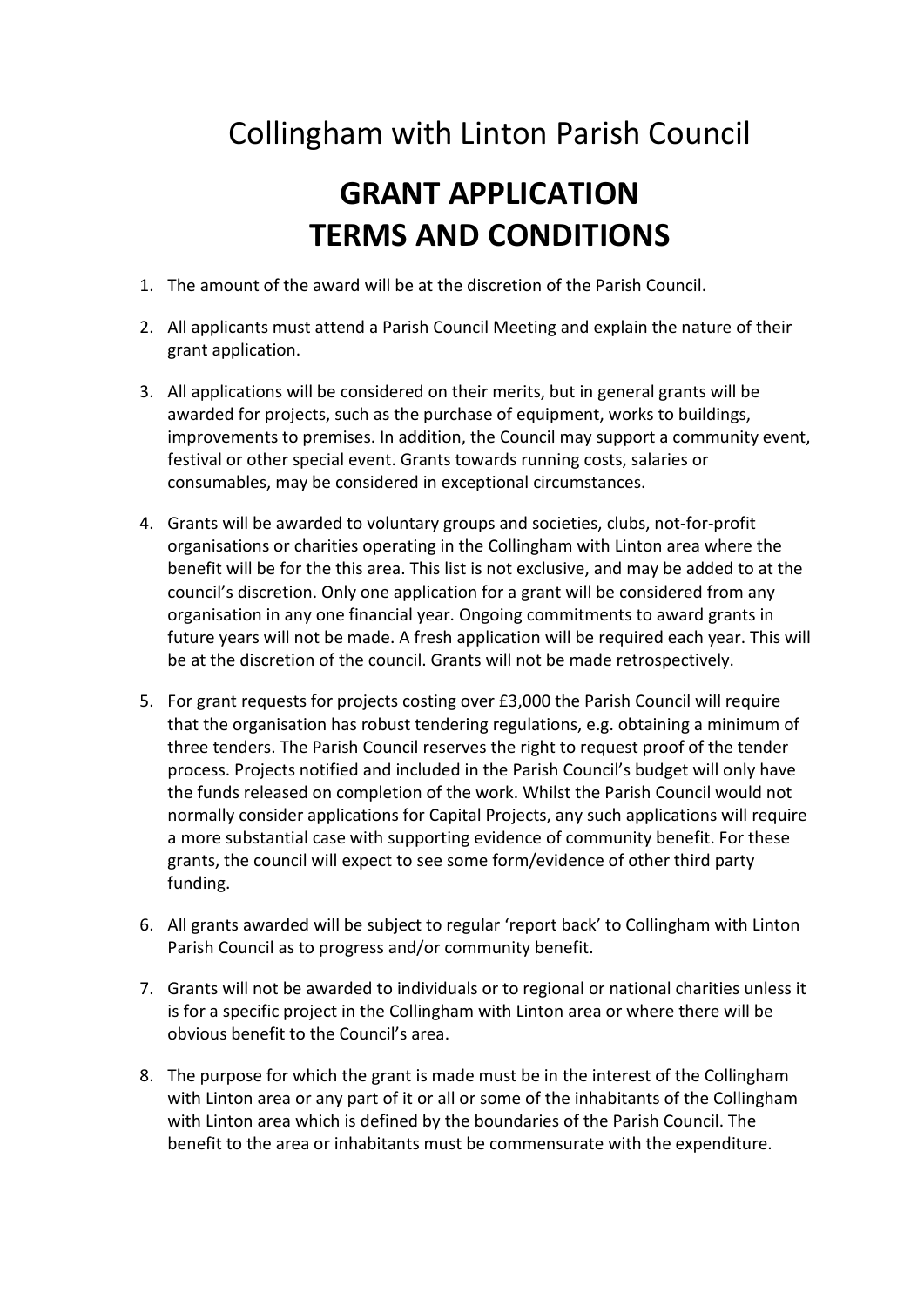## Collingham with Linton Parish Council

## **GRANT APPLICATION TERMS AND CONDITIONS**

- 1. The amount of the award will be at the discretion of the Parish Council.
- 2. All applicants must attend a Parish Council Meeting and explain the nature of their grant application.
- 3. All applications will be considered on their merits, but in general grants will be awarded for projects, such as the purchase of equipment, works to buildings, improvements to premises. In addition, the Council may support a community event, festival or other special event. Grants towards running costs, salaries or consumables, may be considered in exceptional circumstances.
- 4. Grants will be awarded to voluntary groups and societies, clubs, not-for-profit organisations or charities operating in the Collingham with Linton area where the benefit will be for the this area. This list is not exclusive, and may be added to at the council's discretion. Only one application for a grant will be considered from any organisation in any one financial year. Ongoing commitments to award grants in future years will not be made. A fresh application will be required each year. This will be at the discretion of the council. Grants will not be made retrospectively.
- 5. For grant requests for projects costing over £3,000 the Parish Council will require that the organisation has robust tendering regulations, e.g. obtaining a minimum of three tenders. The Parish Council reserves the right to request proof of the tender process. Projects notified and included in the Parish Council's budget will only have the funds released on completion of the work. Whilst the Parish Council would not normally consider applications for Capital Projects, any such applications will require a more substantial case with supporting evidence of community benefit. For these grants, the council will expect to see some form/evidence of other third party funding.
- 6. All grants awarded will be subject to regular 'report back' to Collingham with Linton Parish Council as to progress and/or community benefit.
- 7. Grants will not be awarded to individuals or to regional or national charities unless it is for a specific project in the Collingham with Linton area or where there will be obvious benefit to the Council's area.
- 8. The purpose for which the grant is made must be in the interest of the Collingham with Linton area or any part of it or all or some of the inhabitants of the Collingham with Linton area which is defined by the boundaries of the Parish Council. The benefit to the area or inhabitants must be commensurate with the expenditure.